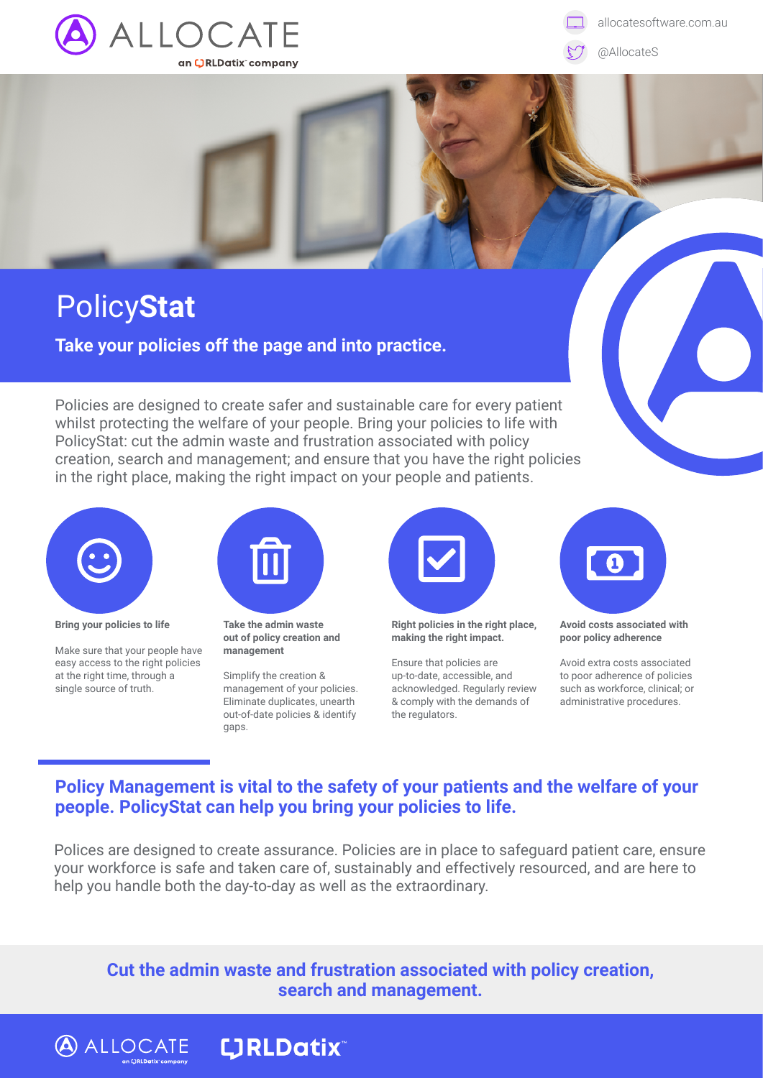

allocatesoftware.com.au

@AllocateS

## Policy**Stat**

**Take your policies off the page and into practice.**

Policies are designed to create safer and sustainable care for every patient whilst protecting the welfare of your people. Bring your policies to life with PolicyStat: cut the admin waste and frustration associated with policy creation, search and management; and ensure that you have the right policies in the right place, making the right impact on your people and patients.



**Bring your policies to life** 

Make sure that your people have easy access to the right policies at the right time, through a single source of truth.

**ALLOCATE LIRLDatix** 



**Take the admin waste out of policy creation and management**

Simplify the creation & management of your policies. Eliminate duplicates, unearth out-of-date policies & identify gaps.



**Right policies in the right place, making the right impact.**

Ensure that policies are up-to-date, accessible, and acknowledged. Regularly review & comply with the demands of the regulators.



**Avoid costs associated with poor policy adherence** 

Avoid extra costs associated to poor adherence of policies such as workforce, clinical; or administrative procedures.

## **Policy Management is vital to the safety of your patients and the welfare of your people. PolicyStat can help you bring your policies to life.**

Polices are designed to create assurance. Policies are in place to safeguard patient care, ensure your workforce is safe and taken care of, sustainably and effectively resourced, and are here to help you handle both the day-to-day as well as the extraordinary.

**Cut the admin waste and frustration associated with policy creation, search and management.**